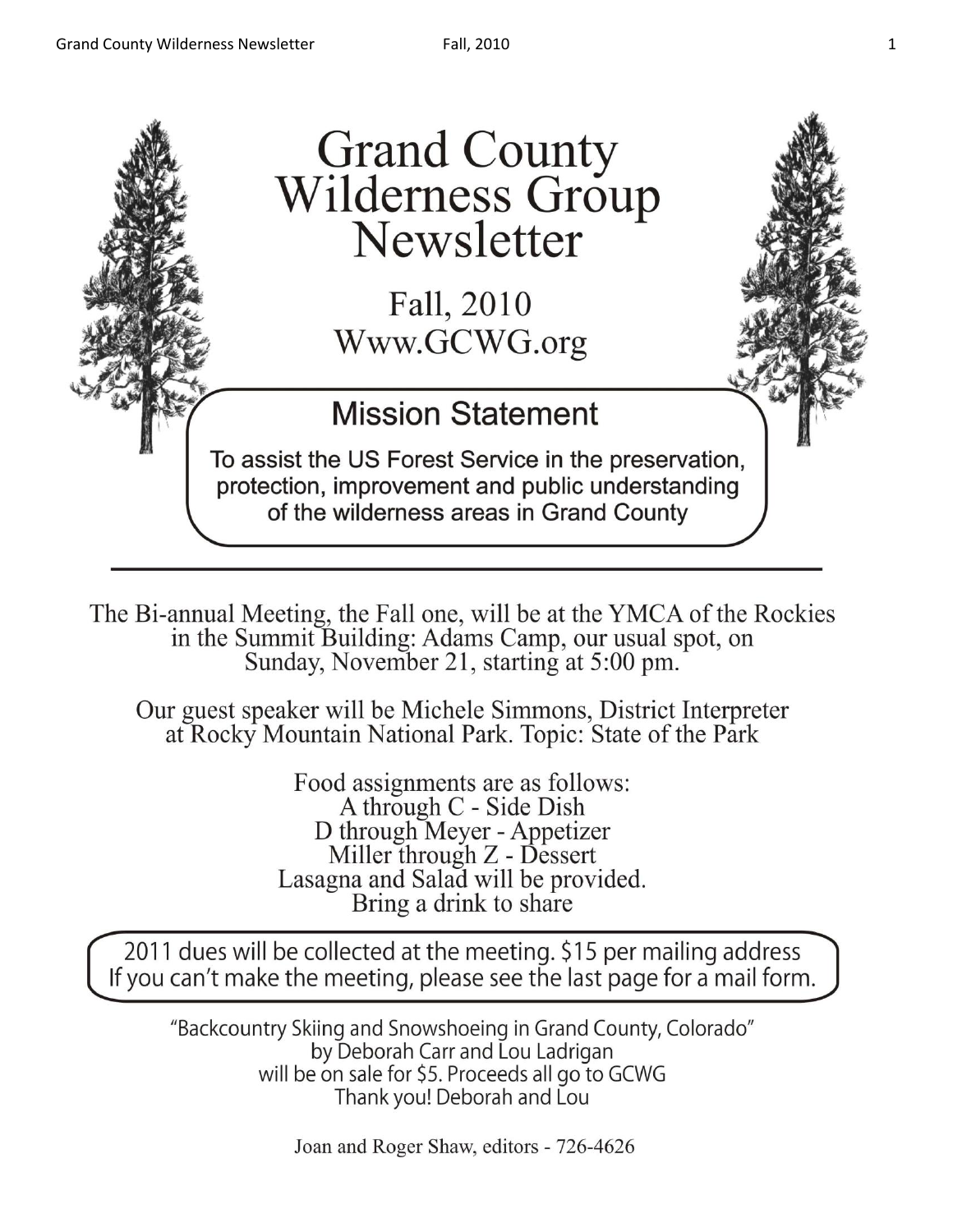

The Bi-annual Meeting, the Fall one, will be at the YMCA of the Rockies in the Summit Building: Adams Camp, our usual spot, on Sunday, November 21, starting at 5:00 pm.

Our guest speaker will be Michele Simmons, District Interpreter at Rocky Mountain National Park. Topic: State of the Park

> Food assignments are as follows: A through C - Side Dish D through Meyer - Appetizer Miller through Z - Dessert Lasagna and Salad will be provided. Bring a drink to share

2011 dues will be collected at the meeting. \$15 per mailing address If you can't make the meeting, please see the last page for a mail form.

"Backcountry Skiing and Snowshoeing in Grand County, Colorado" by Deborah Carr and Lou Ladrigan will be on sale for \$5. Proceeds all go to GCWG Thank you! Deborah and Lou

Joan and Roger Shaw, editors - 726-4626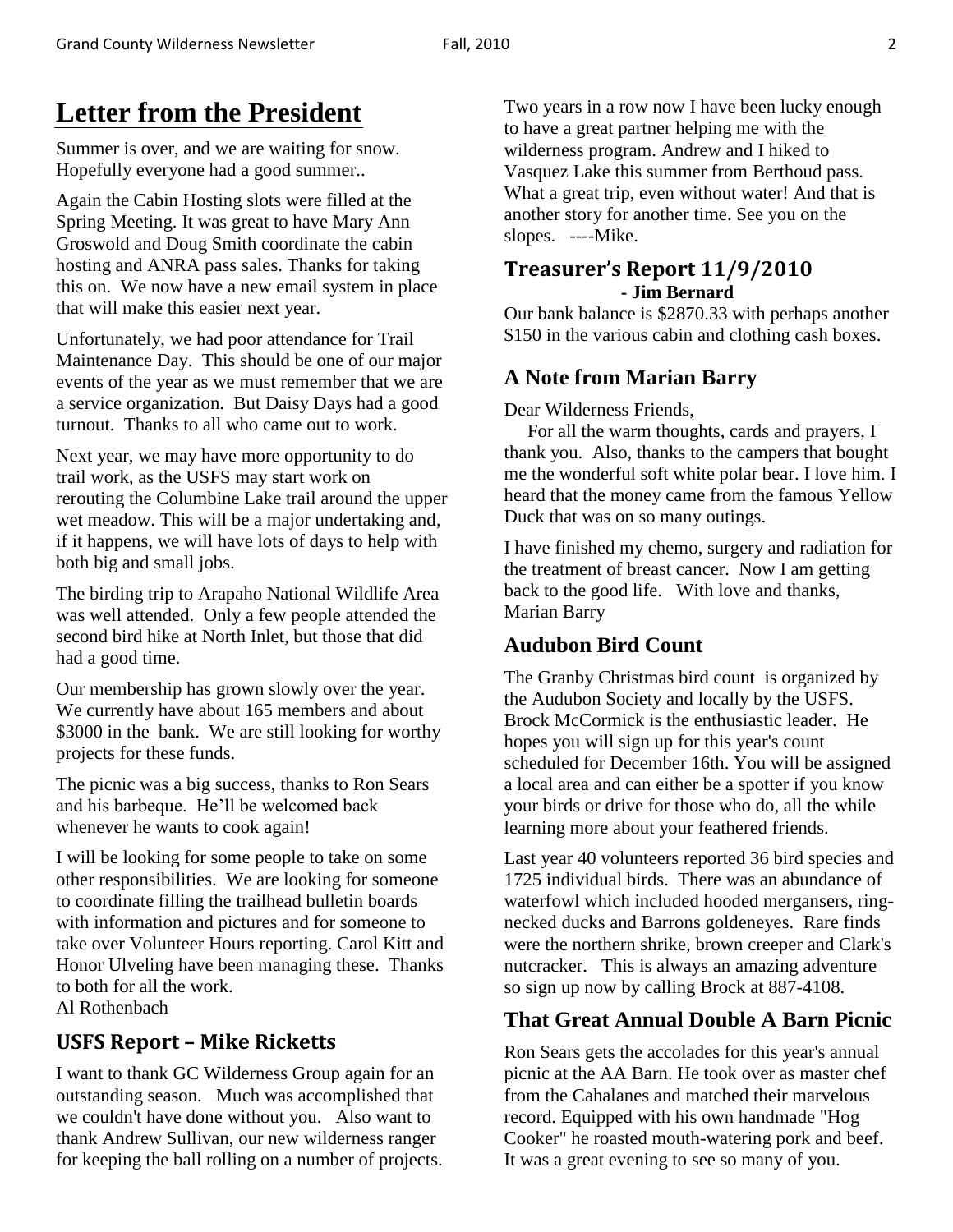# **Letter from the President**

Summer is over, and we are waiting for snow. Hopefully everyone had a good summer..

Again the Cabin Hosting slots were filled at the Spring Meeting. It was great to have Mary Ann Groswold and Doug Smith coordinate the cabin hosting and ANRA pass sales. Thanks for taking this on. We now have a new email system in place that will make this easier next year.

Unfortunately, we had poor attendance for Trail Maintenance Day. This should be one of our major events of the year as we must remember that we are a service organization. But Daisy Days had a good turnout. Thanks to all who came out to work.

Next year, we may have more opportunity to do trail work, as the USFS may start work on rerouting the Columbine Lake trail around the upper wet meadow. This will be a major undertaking and, if it happens, we will have lots of days to help with both big and small jobs.

The birding trip to Arapaho National Wildlife Area was well attended. Only a few people attended the second bird hike at North Inlet, but those that did had a good time.

Our membership has grown slowly over the year. We currently have about 165 members and about \$3000 in the bank. We are still looking for worthy projects for these funds.

The picnic was a big success, thanks to Ron Sears and his barbeque. He'll be welcomed back whenever he wants to cook again!

I will be looking for some people to take on some other responsibilities. We are looking for someone to coordinate filling the trailhead bulletin boards with information and pictures and for someone to take over Volunteer Hours reporting. Carol Kitt and Honor Ulveling have been managing these. Thanks to both for all the work. Al Rothenbach

### **USFS Report – Mike Ricketts**

I want to thank GC Wilderness Group again for an outstanding season. Much was accomplished that we couldn't have done without you. Also want to thank Andrew Sullivan, our new wilderness ranger for keeping the ball rolling on a number of projects. Two years in a row now I have been lucky enough to have a great partner helping me with the wilderness program. Andrew and I hiked to Vasquez Lake this summer from Berthoud pass. What a great trip, even without water! And that is another story for another time. See you on the slopes. ----Mike.

#### **Treasurer's Report 11/9/2010 - Jim Bernard**

Our bank balance is \$2870.33 with perhaps another \$150 in the various cabin and clothing cash boxes.

### **A Note from Marian Barry**

Dear Wilderness Friends,

 For all the warm thoughts, cards and prayers, I thank you. Also, thanks to the campers that bought me the wonderful soft white polar bear. I love him. I heard that the money came from the famous Yellow Duck that was on so many outings.

I have finished my chemo, surgery and radiation for the treatment of breast cancer. Now I am getting back to the good life. With love and thanks, Marian Barry

### **Audubon Bird Count**

The Granby Christmas bird count is organized by the Audubon Society and locally by the USFS. Brock McCormick is the enthusiastic leader. He hopes you will sign up for this year's count scheduled for December 16th. You will be assigned a local area and can either be a spotter if you know your birds or drive for those who do, all the while learning more about your feathered friends.

Last year 40 volunteers reported 36 bird species and 1725 individual birds. There was an abundance of waterfowl which included hooded mergansers, ringnecked ducks and Barrons goldeneyes. Rare finds were the northern shrike, brown creeper and Clark's nutcracker. This is always an amazing adventure so sign up now by calling Brock at 887-4108.

### **That Great Annual Double A Barn Picnic**

Ron Sears gets the accolades for this year's annual picnic at the AA Barn. He took over as master chef from the Cahalanes and matched their marvelous record. Equipped with his own handmade "Hog Cooker" he roasted mouth-watering pork and beef. It was a great evening to see so many of you.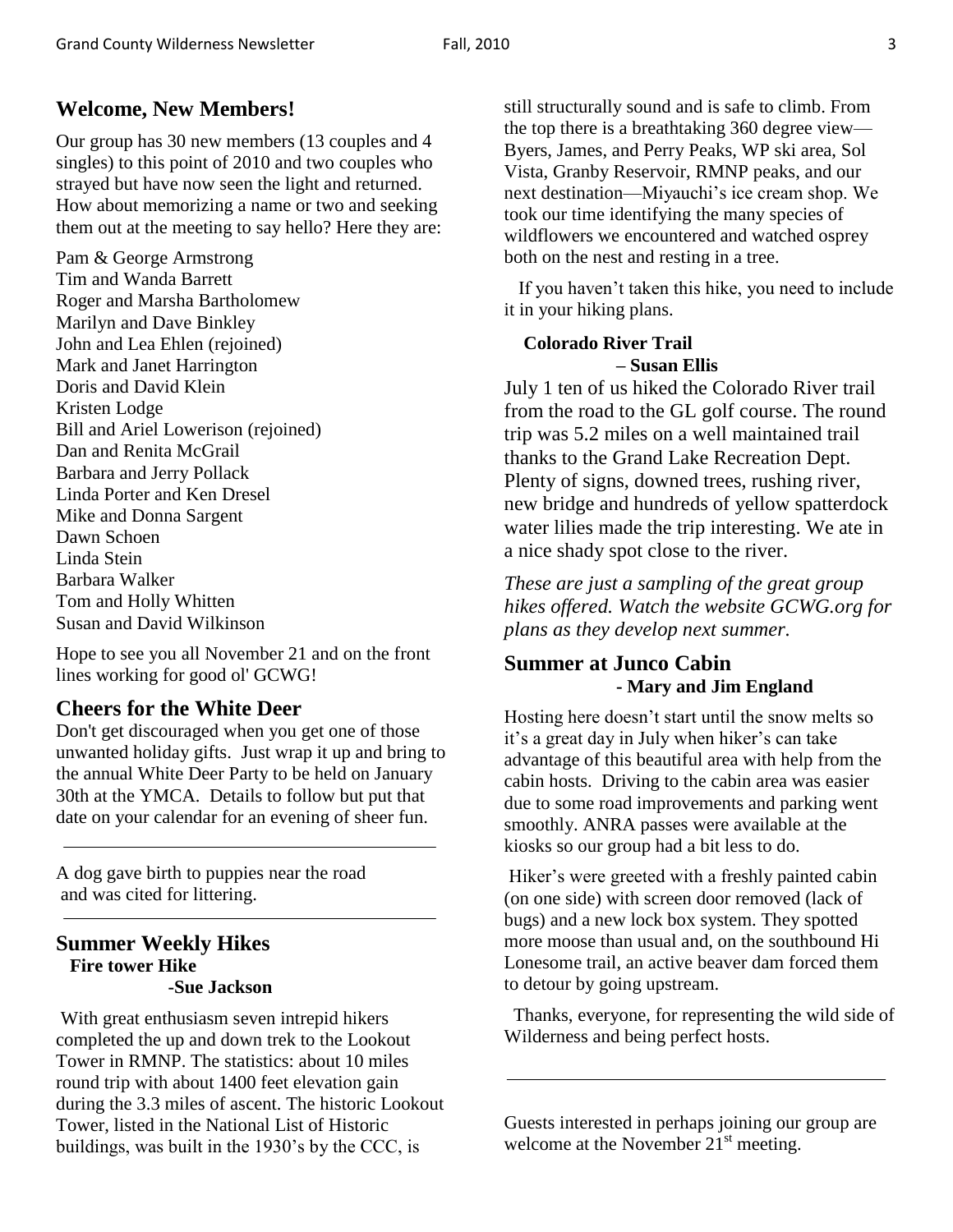#### **Welcome, New Members!**

Our group has 30 new members (13 couples and 4 singles) to this point of 2010 and two couples who strayed but have now seen the light and returned. How about memorizing a name or two and seeking them out at the meeting to say hello? Here they are:

Pam & George Armstrong Tim and Wanda Barrett Roger and Marsha Bartholomew Marilyn and Dave Binkley John and Lea Ehlen (rejoined) Mark and Janet Harrington Doris and David Klein Kristen Lodge Bill and Ariel Lowerison (rejoined) Dan and Renita McGrail Barbara and Jerry Pollack Linda Porter and Ken Dresel Mike and Donna Sargent Dawn Schoen Linda Stein Barbara Walker Tom and Holly Whitten Susan and David Wilkinson

Hope to see you all November 21 and on the front lines working for good ol' GCWG!

#### **Cheers for the White Deer**

Don't get discouraged when you get one of those unwanted holiday gifts. Just wrap it up and bring to the annual White Deer Party to be held on January 30th at the YMCA. Details to follow but put that date on your calendar for an evening of sheer fun.

A dog gave birth to puppies near the road and was cited for littering.

#### **Summer Weekly Hikes Fire tower Hike -Sue Jackson**

With great enthusiasm seven intrepid hikers completed the up and down trek to the Lookout Tower in RMNP. The statistics: about 10 miles round trip with about 1400 feet elevation gain during the 3.3 miles of ascent. The historic Lookout Tower, listed in the National List of Historic buildings, was built in the 1930's by the CCC, is

still structurally sound and is safe to climb. From the top there is a breathtaking 360 degree view— Byers, James, and Perry Peaks, WP ski area, Sol Vista, Granby Reservoir, RMNP peaks, and our next destination—Miyauchi's ice cream shop. We took our time identifying the many species of wildflowers we encountered and watched osprey both on the nest and resting in a tree.

If you haven't taken this hike, you need to include it in your hiking plans.

#### **Colorado River Trail – Susan Ellis**

July 1 ten of us hiked the Colorado River trail from the road to the GL golf course. The round trip was 5.2 miles on a well maintained trail thanks to the Grand Lake Recreation Dept. Plenty of signs, downed trees, rushing river, new bridge and hundreds of yellow spatterdock water lilies made the trip interesting. We ate in a nice shady spot close to the river.

*These are just a sampling of the great group hikes offered. Watch the website GCWG.org for plans as they develop next summer.*

#### **Summer at Junco Cabin - Mary and Jim England**

Hosting here doesn't start until the snow melts so it's a great day in July when hiker's can take advantage of this beautiful area with help from the cabin hosts. Driving to the cabin area was easier due to some road improvements and parking went smoothly. ANRA passes were available at the kiosks so our group had a bit less to do.

Hiker's were greeted with a freshly painted cabin (on one side) with screen door removed (lack of bugs) and a new lock box system. They spotted more moose than usual and, on the southbound Hi Lonesome trail, an active beaver dam forced them to detour by going upstream.

 Thanks, everyone, for representing the wild side of Wilderness and being perfect hosts.

Guests interested in perhaps joining our group are welcome at the November 21<sup>st</sup> meeting.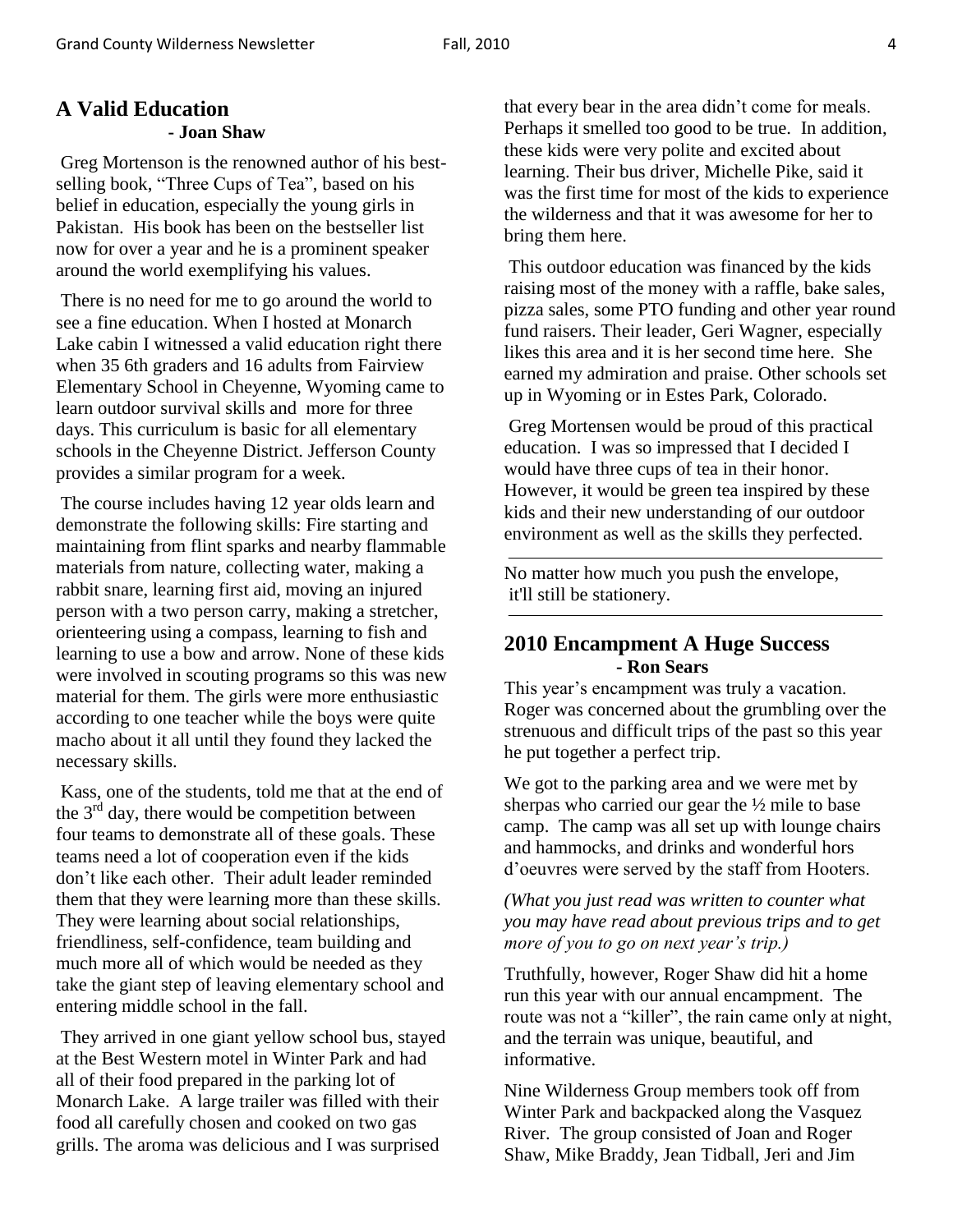#### **A Valid Education - Joan Shaw**

Greg Mortenson is the renowned author of his bestselling book, "Three Cups of Tea", based on his belief in education, especially the young girls in Pakistan. His book has been on the bestseller list now for over a year and he is a prominent speaker around the world exemplifying his values.

There is no need for me to go around the world to see a fine education. When I hosted at Monarch Lake cabin I witnessed a valid education right there when 35 6th graders and 16 adults from Fairview Elementary School in Cheyenne, Wyoming came to learn outdoor survival skills and more for three days. This curriculum is basic for all elementary schools in the Cheyenne District. Jefferson County provides a similar program for a week.

The course includes having 12 year olds learn and demonstrate the following skills: Fire starting and maintaining from flint sparks and nearby flammable materials from nature, collecting water, making a rabbit snare, learning first aid, moving an injured person with a two person carry, making a stretcher, orienteering using a compass, learning to fish and learning to use a bow and arrow. None of these kids were involved in scouting programs so this was new material for them. The girls were more enthusiastic according to one teacher while the boys were quite macho about it all until they found they lacked the necessary skills.

Kass, one of the students, told me that at the end of the  $3<sup>rd</sup>$  day, there would be competition between four teams to demonstrate all of these goals. These teams need a lot of cooperation even if the kids don't like each other. Their adult leader reminded them that they were learning more than these skills. They were learning about social relationships, friendliness, self-confidence, team building and much more all of which would be needed as they take the giant step of leaving elementary school and entering middle school in the fall.

They arrived in one giant yellow school bus, stayed at the Best Western motel in Winter Park and had all of their food prepared in the parking lot of Monarch Lake. A large trailer was filled with their food all carefully chosen and cooked on two gas grills. The aroma was delicious and I was surprised

that every bear in the area didn't come for meals. Perhaps it smelled too good to be true. In addition, these kids were very polite and excited about learning. Their bus driver, Michelle Pike, said it was the first time for most of the kids to experience the wilderness and that it was awesome for her to bring them here.

This outdoor education was financed by the kids raising most of the money with a raffle, bake sales, pizza sales, some PTO funding and other year round fund raisers. Their leader, Geri Wagner, especially likes this area and it is her second time here. She earned my admiration and praise. Other schools set up in Wyoming or in Estes Park, Colorado.

Greg Mortensen would be proud of this practical education. I was so impressed that I decided I would have three cups of tea in their honor. However, it would be green tea inspired by these kids and their new understanding of our outdoor environment as well as the skills they perfected.

No matter how much you push the envelope, it'll still be stationery.

#### **2010 Encampment A Huge Success - Ron Sears**

This year's encampment was truly a vacation. Roger was concerned about the grumbling over the strenuous and difficult trips of the past so this year he put together a perfect trip.

We got to the parking area and we were met by sherpas who carried our gear the ½ mile to base camp. The camp was all set up with lounge chairs and hammocks, and drinks and wonderful hors d'oeuvres were served by the staff from Hooters.

#### *(What you just read was written to counter what you may have read about previous trips and to get more of you to go on next year's trip.)*

Truthfully, however, Roger Shaw did hit a home run this year with our annual encampment. The route was not a "killer", the rain came only at night, and the terrain was unique, beautiful, and informative.

Nine Wilderness Group members took off from Winter Park and backpacked along the Vasquez River. The group consisted of Joan and Roger Shaw, Mike Braddy, Jean Tidball, Jeri and Jim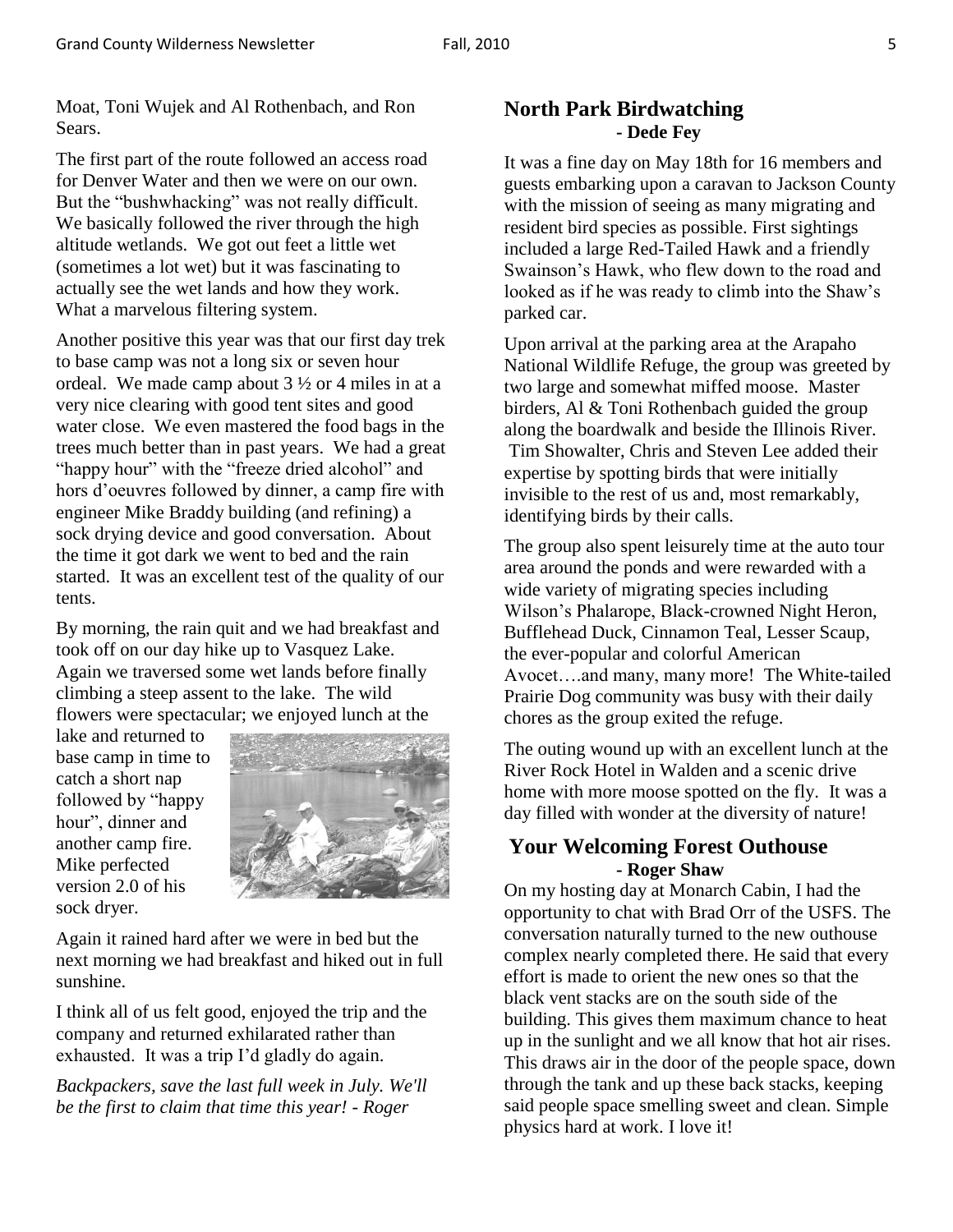Moat, Toni Wujek and Al Rothenbach, and Ron Sears.

The first part of the route followed an access road for Denver Water and then we were on our own. But the "bushwhacking" was not really difficult. We basically followed the river through the high altitude wetlands. We got out feet a little wet (sometimes a lot wet) but it was fascinating to actually see the wet lands and how they work. What a marvelous filtering system.

Another positive this year was that our first day trek to base camp was not a long six or seven hour ordeal. We made camp about 3 ½ or 4 miles in at a very nice clearing with good tent sites and good water close. We even mastered the food bags in the trees much better than in past years. We had a great "happy hour" with the "freeze dried alcohol" and hors d'oeuvres followed by dinner, a camp fire with engineer Mike Braddy building (and refining) a sock drying device and good conversation. About the time it got dark we went to bed and the rain started. It was an excellent test of the quality of our tents.

By morning, the rain quit and we had breakfast and took off on our day hike up to Vasquez Lake. Again we traversed some wet lands before finally climbing a steep assent to the lake. The wild flowers were spectacular; we enjoyed lunch at the

lake and returned to base camp in time to catch a short nap followed by "happy hour", dinner and another camp fire. Mike perfected version 2.0 of his sock dryer.



Again it rained hard after we were in bed but the next morning we had breakfast and hiked out in full sunshine.

I think all of us felt good, enjoyed the trip and the company and returned exhilarated rather than exhausted. It was a trip I'd gladly do again.

*Backpackers, save the last full week in July. We'll be the first to claim that time this year! - Roger*

#### **North Park Birdwatching - Dede Fey**

It was a fine day on May 18th for 16 members and guests embarking upon a caravan to Jackson County with the mission of seeing as many migrating and resident bird species as possible. First sightings included a large Red-Tailed Hawk and a friendly Swainson's Hawk, who flew down to the road and looked as if he was ready to climb into the Shaw's parked car.

Upon arrival at the parking area at the Arapaho National Wildlife Refuge, the group was greeted by two large and somewhat miffed moose. Master birders, Al & Toni Rothenbach guided the group along the boardwalk and beside the Illinois River. Tim Showalter, Chris and Steven Lee added their expertise by spotting birds that were initially invisible to the rest of us and, most remarkably, identifying birds by their calls.

The group also spent leisurely time at the auto tour area around the ponds and were rewarded with a wide variety of migrating species including Wilson's Phalarope, Black-crowned Night Heron, Bufflehead Duck, Cinnamon Teal, Lesser Scaup, the ever-popular and colorful American Avocet….and many, many more! The White-tailed Prairie Dog community was busy with their daily chores as the group exited the refuge.

The outing wound up with an excellent lunch at the River Rock Hotel in Walden and a scenic drive home with more moose spotted on the fly. It was a day filled with wonder at the diversity of nature!

#### **Your Welcoming Forest Outhouse - Roger Shaw**

On my hosting day at Monarch Cabin, I had the opportunity to chat with Brad Orr of the USFS. The conversation naturally turned to the new outhouse complex nearly completed there. He said that every effort is made to orient the new ones so that the black vent stacks are on the south side of the building. This gives them maximum chance to heat up in the sunlight and we all know that hot air rises. This draws air in the door of the people space, down through the tank and up these back stacks, keeping said people space smelling sweet and clean. Simple physics hard at work. I love it!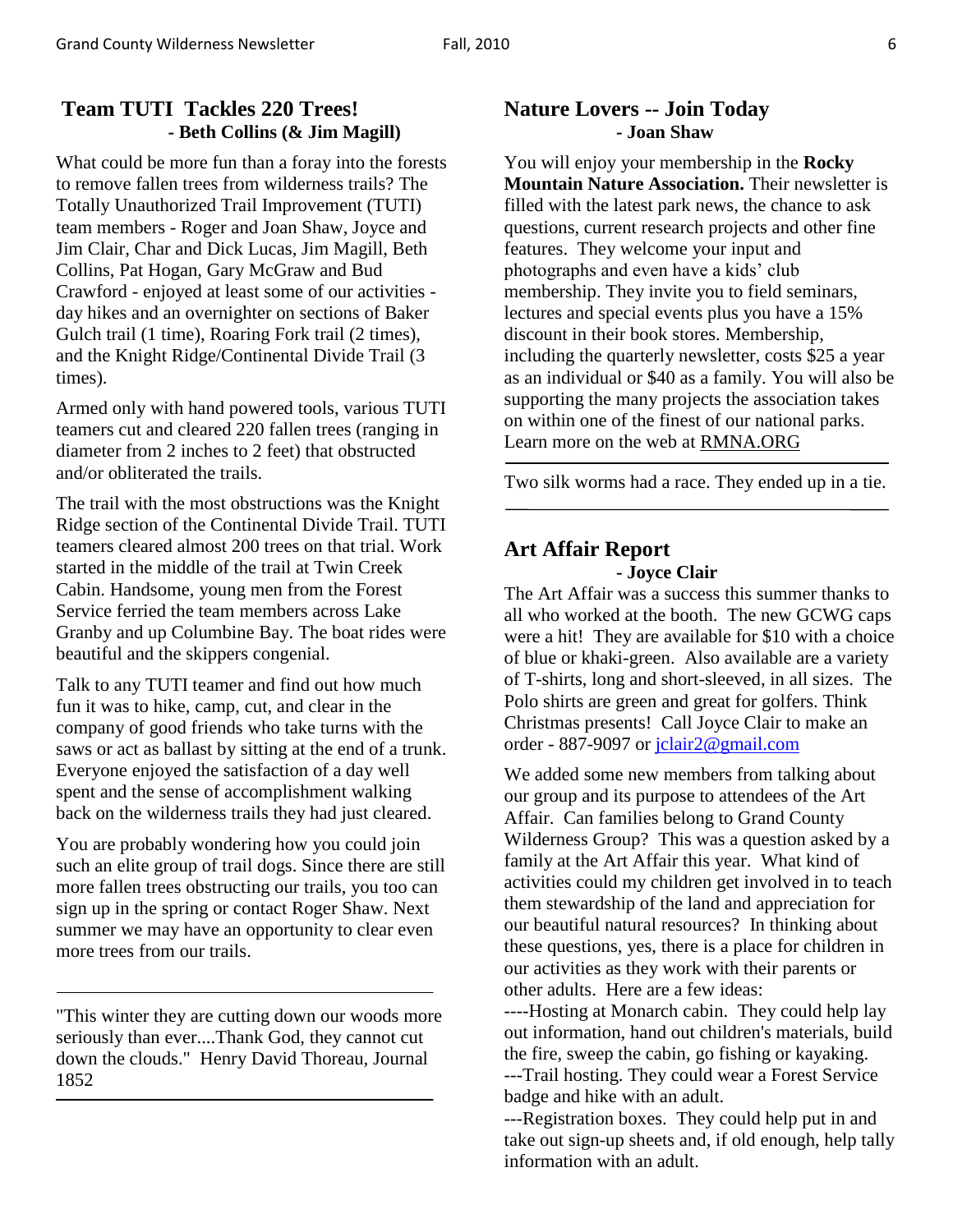#### **Team TUTI Tackles 220 Trees! - Beth Collins (& Jim Magill)**

What could be more fun than a foray into the forests to remove fallen trees from wilderness trails? The Totally Unauthorized Trail Improvement (TUTI) team members - Roger and Joan Shaw, Joyce and Jim Clair, Char and Dick Lucas, Jim Magill, Beth Collins, Pat Hogan, Gary McGraw and Bud Crawford - enjoyed at least some of our activities day hikes and an overnighter on sections of Baker Gulch trail (1 time), Roaring Fork trail (2 times), and the Knight Ridge/Continental Divide Trail (3 times).

Armed only with hand powered tools, various TUTI teamers cut and cleared 220 fallen trees (ranging in diameter from 2 inches to 2 feet) that obstructed and/or obliterated the trails.

The trail with the most obstructions was the Knight Ridge section of the Continental Divide Trail. TUTI teamers cleared almost 200 trees on that trial. Work started in the middle of the trail at Twin Creek Cabin. Handsome, young men from the Forest Service ferried the team members across Lake Granby and up Columbine Bay. The boat rides were beautiful and the skippers congenial.

Talk to any TUTI teamer and find out how much fun it was to hike, camp, cut, and clear in the company of good friends who take turns with the saws or act as ballast by sitting at the end of a trunk. Everyone enjoyed the satisfaction of a day well spent and the sense of accomplishment walking back on the wilderness trails they had just cleared.

You are probably wondering how you could join such an elite group of trail dogs. Since there are still more fallen trees obstructing our trails, you too can sign up in the spring or contact Roger Shaw. Next summer we may have an opportunity to clear even more trees from our trails.

"This winter they are cutting down our woods more seriously than ever....Thank God, they cannot cut down the clouds." Henry David Thoreau, Journal 1852

#### **Nature Lovers -- Join Today - Joan Shaw**

You will enjoy your membership in the **Rocky Mountain Nature Association.** Their newsletter is filled with the latest park news, the chance to ask questions, current research projects and other fine features. They welcome your input and photographs and even have a kids' club membership. They invite you to field seminars, lectures and special events plus you have a 15% discount in their book stores. Membership, including the quarterly newsletter, costs \$25 a year as an individual or \$40 as a family. You will also be supporting the many projects the association takes on within one of the finest of our national parks. Learn more on the web at [RMNA.ORG](http://rmna.org/)

Two silk worms had a race. They ended up in a tie.

## **Art Affair Report**

#### **- Joyce Clair**

The Art Affair was a success this summer thanks to all who worked at the booth. The new GCWG caps were a hit! They are available for \$10 with a choice of blue or khaki-green. Also available are a variety of T-shirts, long and short-sleeved, in all sizes. The Polo shirts are green and great for golfers. Think Christmas presents! Call Joyce Clair to make an order - 887-9097 or [jclair2@gmail.com](mailto:jclair2@gmail.com)

We added some new members from talking about our group and its purpose to attendees of the Art Affair. Can families belong to Grand County Wilderness Group? This was a question asked by a family at the Art Affair this year. What kind of activities could my children get involved in to teach them stewardship of the land and appreciation for our beautiful natural resources? In thinking about these questions, yes, there is a place for children in our activities as they work with their parents or other adults. Here are a few ideas:

----Hosting at Monarch cabin. They could help lay out information, hand out children's materials, build the fire, sweep the cabin, go fishing or kayaking.

---Trail hosting. They could wear a Forest Service badge and hike with an adult.

---Registration boxes. They could help put in and take out sign-up sheets and, if old enough, help tally information with an adult.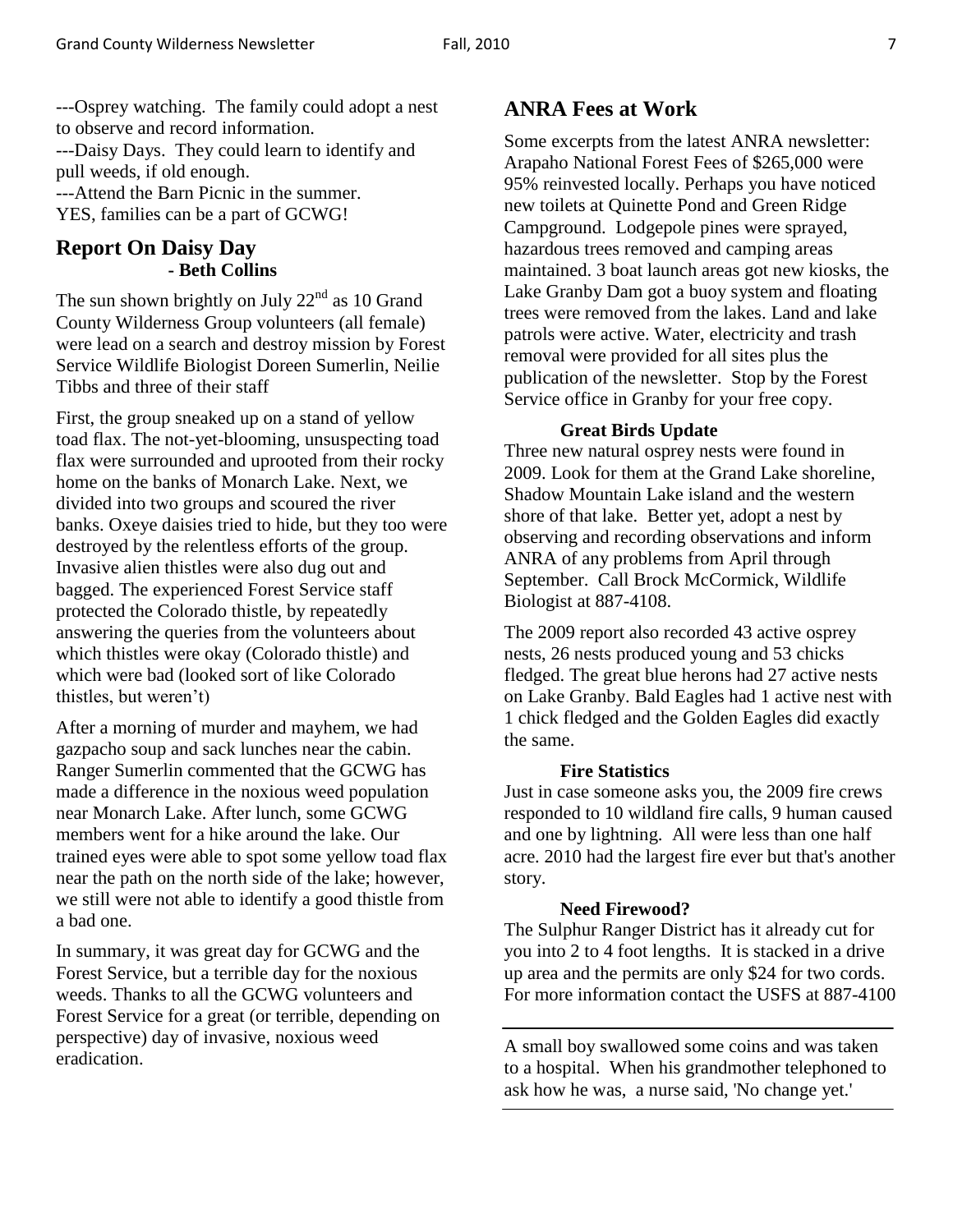---Osprey watching. The family could adopt a nest to observe and record information. ---Daisy Days. They could learn to identify and

pull weeds, if old enough.

---Attend the Barn Picnic in the summer. YES, families can be a part of GCWG!

#### **Report On Daisy Day - Beth Collins**

The sun shown brightly on July 22<sup>nd</sup> as 10 Grand County Wilderness Group volunteers (all female) were lead on a search and destroy mission by Forest Service Wildlife Biologist Doreen Sumerlin, Neilie Tibbs and three of their staff

First, the group sneaked up on a stand of yellow toad flax. The not-yet-blooming, unsuspecting toad flax were surrounded and uprooted from their rocky home on the banks of Monarch Lake. Next, we divided into two groups and scoured the river banks. Oxeye daisies tried to hide, but they too were destroyed by the relentless efforts of the group. Invasive alien thistles were also dug out and bagged. The experienced Forest Service staff protected the Colorado thistle, by repeatedly answering the queries from the volunteers about which thistles were okay (Colorado thistle) and which were bad (looked sort of like Colorado thistles, but weren't)

After a morning of murder and mayhem, we had gazpacho soup and sack lunches near the cabin. Ranger Sumerlin commented that the GCWG has made a difference in the noxious weed population near Monarch Lake. After lunch, some GCWG members went for a hike around the lake. Our trained eyes were able to spot some yellow toad flax near the path on the north side of the lake; however, we still were not able to identify a good thistle from a bad one.

In summary, it was great day for GCWG and the Forest Service, but a terrible day for the noxious weeds. Thanks to all the GCWG volunteers and Forest Service for a great (or terrible, depending on perspective) day of invasive, noxious weed eradication.

### **ANRA Fees at Work**

Some excerpts from the latest ANRA newsletter: Arapaho National Forest Fees of \$265,000 were 95% reinvested locally. Perhaps you have noticed new toilets at Quinette Pond and Green Ridge Campground. Lodgepole pines were sprayed, hazardous trees removed and camping areas maintained. 3 boat launch areas got new kiosks, the Lake Granby Dam got a buoy system and floating trees were removed from the lakes. Land and lake patrols were active. Water, electricity and trash removal were provided for all sites plus the publication of the newsletter. Stop by the Forest Service office in Granby for your free copy.

#### **Great Birds Update**

Three new natural osprey nests were found in 2009. Look for them at the Grand Lake shoreline, Shadow Mountain Lake island and the western shore of that lake. Better yet, adopt a nest by observing and recording observations and inform ANRA of any problems from April through September. Call Brock McCormick, Wildlife Biologist at 887-4108.

The 2009 report also recorded 43 active osprey nests, 26 nests produced young and 53 chicks fledged. The great blue herons had 27 active nests on Lake Granby. Bald Eagles had 1 active nest with 1 chick fledged and the Golden Eagles did exactly the same.

#### **Fire Statistics**

Just in case someone asks you, the 2009 fire crews responded to 10 wildland fire calls, 9 human caused and one by lightning. All were less than one half acre. 2010 had the largest fire ever but that's another story.

#### **Need Firewood?**

The Sulphur Ranger District has it already cut for you into 2 to 4 foot lengths. It is stacked in a drive up area and the permits are only \$24 for two cords. For more information contact the USFS at 887-4100

A small boy swallowed some coins and was taken to a hospital. When his grandmother telephoned to ask how he was, a nurse said, 'No change yet.'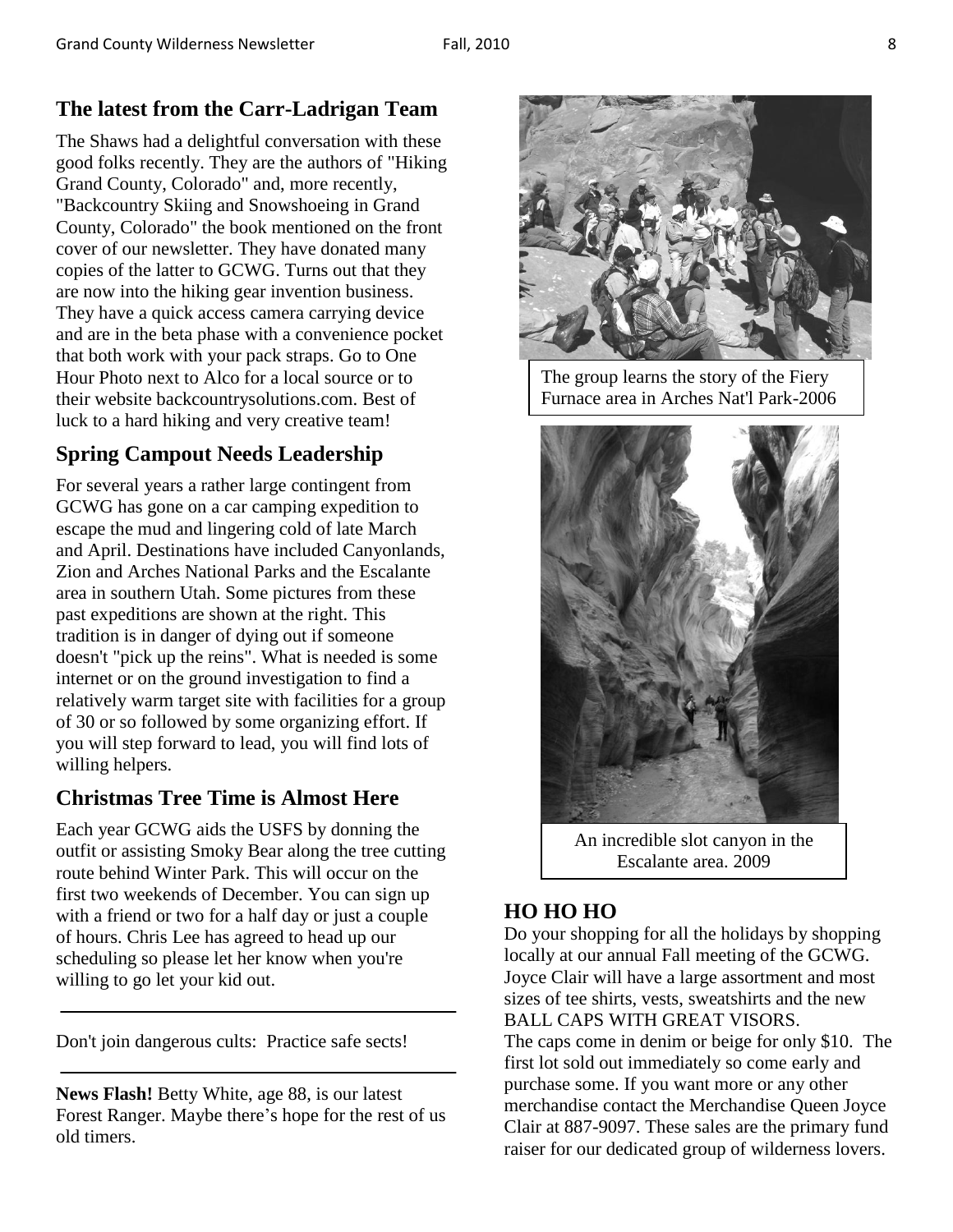### **The latest from the Carr-Ladrigan Team**

The Shaws had a delightful conversation with these good folks recently. They are the authors of "Hiking Grand County, Colorado" and, more recently, "Backcountry Skiing and Snowshoeing in Grand County, Colorado" the book mentioned on the front cover of our newsletter. They have donated many copies of the latter to GCWG. Turns out that they are now into the hiking gear invention business. They have a quick access camera carrying device and are in the beta phase with a convenience pocket that both work with your pack straps. Go to One Hour Photo next to Alco for a local source or to their website backcountrysolutions.com. Best of luck to a hard hiking and very creative team!

### **Spring Campout Needs Leadership**

For several years a rather large contingent from GCWG has gone on a car camping expedition to escape the mud and lingering cold of late March and April. Destinations have included Canyonlands, Zion and Arches National Parks and the Escalante area in southern Utah. Some pictures from these past expeditions are shown at the right. This tradition is in danger of dying out if someone doesn't "pick up the reins". What is needed is some internet or on the ground investigation to find a relatively warm target site with facilities for a group of 30 or so followed by some organizing effort. If you will step forward to lead, you will find lots of willing helpers.

### **Christmas Tree Time is Almost Here**

Each year GCWG aids the USFS by donning the outfit or assisting Smoky Bear along the tree cutting route behind Winter Park. This will occur on the first two weekends of December. You can sign up with a friend or two for a half day or just a couple of hours. Chris Lee has agreed to head up our scheduling so please let her know when you're willing to go let your kid out.

Don't join dangerous cults: Practice safe sects!

**News Flash!** Betty White, age 88, is our latest Forest Ranger. Maybe there's hope for the rest of us old timers.

The group learns the story of the Fiery

Furnace area in Arches Nat'l Park-2006

An incredible slot canyon in the

# Escalante area. 2009

### **HO HO HO**

Do your shopping for all the holidays by shopping locally at our annual Fall meeting of the GCWG. Joyce Clair will have a large assortment and most sizes of tee shirts, vests, sweatshirts and the new BALL CAPS WITH GREAT VISORS. The caps come in denim or beige for only \$10. The first lot sold out immediately so come early and purchase some. If you want more or any other merchandise contact the Merchandise Queen Joyce Clair at 887-9097. These sales are the primary fund raiser for our dedicated group of wilderness lovers.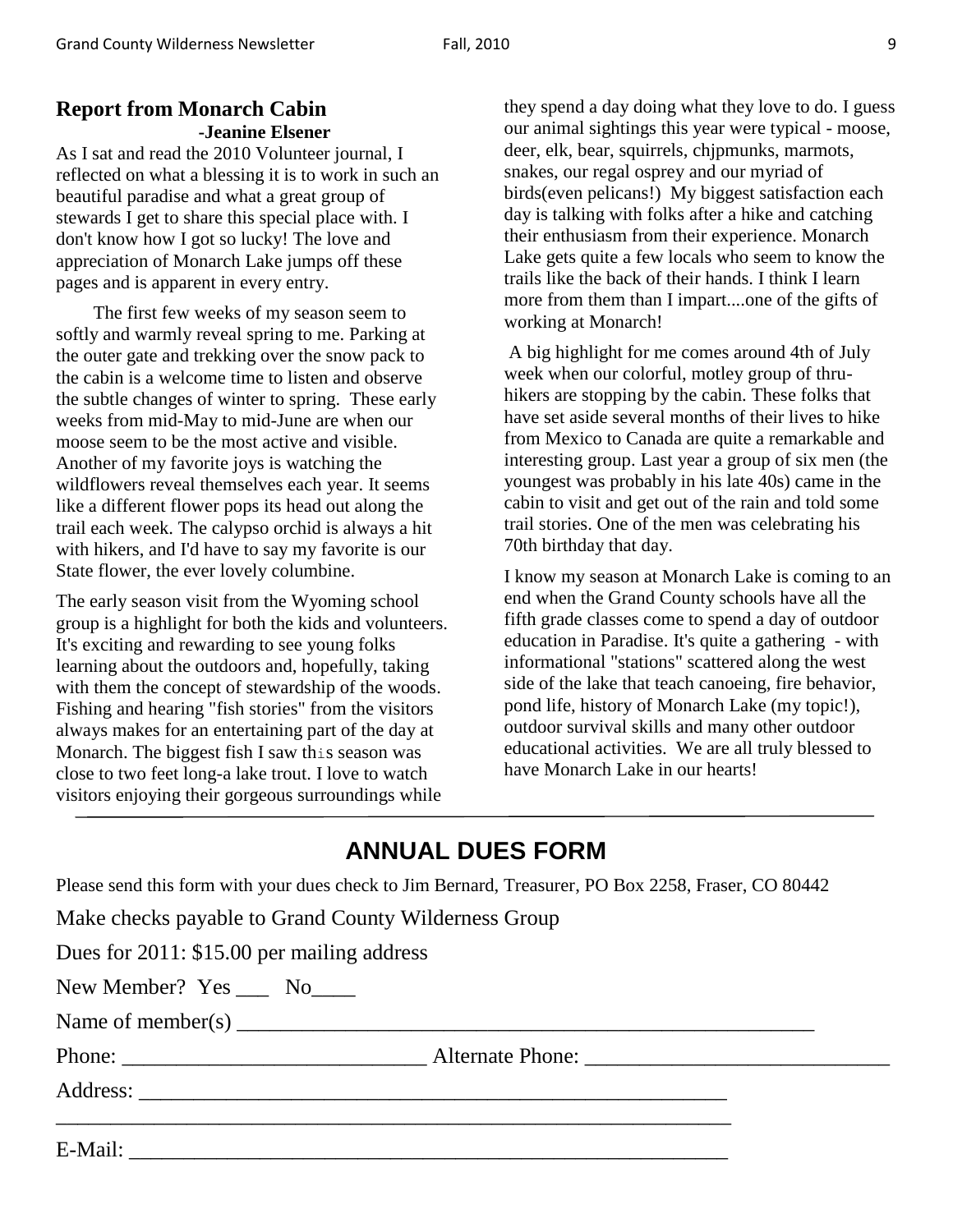#### **Report from Monarch Cabin -Jeanine Elsener**

As I sat and read the 2010 Volunteer journal, I reflected on what a blessing it is to work in such an beautiful paradise and what a great group of stewards I get to share this special place with. I don't know how I got so lucky! The love and appreciation of Monarch Lake jumps off these pages and is apparent in every entry.

 The first few weeks of my season seem to softly and warmly reveal spring to me. Parking at the outer gate and trekking over the snow pack to the cabin is a welcome time to listen and observe the subtle changes of winter to spring. These early weeks from mid-May to mid-June are when our moose seem to be the most active and visible. Another of my favorite joys is watching the wildflowers reveal themselves each year. It seems like a different flower pops its head out along the trail each week. The calypso orchid is always a hit with hikers, and I'd have to say my favorite is our State flower, the ever lovely columbine.

The early season visit from the Wyoming school group is a highlight for both the kids and volunteers. It's exciting and rewarding to see young folks learning about the outdoors and, hopefully, taking with them the concept of stewardship of the woods. Fishing and hearing "fish stories" from the visitors always makes for an entertaining part of the day at Monarch. The biggest fish I saw this season was close to two feet long-a lake trout. I love to watch visitors enjoying their gorgeous surroundings while

they spend a day doing what they love to do. I guess our animal sightings this year were typical - moose, deer, elk, bear, squirrels, chjpmunks, marmots, snakes, our regal osprey and our myriad of birds(even pelicans!) My biggest satisfaction each day is talking with folks after a hike and catching their enthusiasm from their experience. Monarch Lake gets quite a few locals who seem to know the trails like the back of their hands. I think I learn more from them than I impart....one of the gifts of working at Monarch!

A big highlight for me comes around 4th of July week when our colorful, motley group of thruhikers are stopping by the cabin. These folks that have set aside several months of their lives to hike from Mexico to Canada are quite a remarkable and interesting group. Last year a group of six men (the youngest was probably in his late 40s) came in the cabin to visit and get out of the rain and told some trail stories. One of the men was celebrating his 70th birthday that day.

I know my season at Monarch Lake is coming to an end when the Grand County schools have all the fifth grade classes come to spend a day of outdoor education in Paradise. It's quite a gathering - with informational "stations" scattered along the west side of the lake that teach canoeing, fire behavior, pond life, history of Monarch Lake (my topic!), outdoor survival skills and many other outdoor educational activities. We are all truly blessed to have Monarch Lake in our hearts!

## **ANNUAL DUES FORM**

| Please send this form with your dues check to Jim Bernard, Treasurer, PO Box 2258, Fraser, CO 80442 |  |  |
|-----------------------------------------------------------------------------------------------------|--|--|
|                                                                                                     |  |  |

\_\_\_\_\_\_\_\_\_\_\_\_\_\_\_\_\_\_\_\_\_\_\_\_\_\_\_\_\_\_\_\_\_\_\_\_\_\_\_\_\_\_\_\_\_\_\_\_\_\_\_\_\_\_\_\_\_\_\_\_\_\_

Make checks payable to Grand County Wilderness Group

Dues for 2011: \$15.00 per mailing address

New Member? Yes No

Name of member(s)  $\overline{\phantom{a}}$ 

Phone: \_\_\_\_\_\_\_\_\_\_\_\_\_\_\_\_\_\_\_\_\_\_\_\_\_\_\_\_ Alternate Phone: \_\_\_\_\_\_\_\_\_\_\_\_\_\_\_\_\_\_\_\_\_\_\_\_\_\_\_\_

Address: \_\_\_\_\_\_\_\_\_\_\_\_\_\_\_\_\_\_\_\_\_\_\_\_\_\_\_\_\_\_\_\_\_\_\_\_\_\_\_\_\_\_\_\_\_\_\_\_\_\_\_\_\_\_

E-Mail: \_\_\_\_\_\_\_\_\_\_\_\_\_\_\_\_\_\_\_\_\_\_\_\_\_\_\_\_\_\_\_\_\_\_\_\_\_\_\_\_\_\_\_\_\_\_\_\_\_\_\_\_\_\_\_